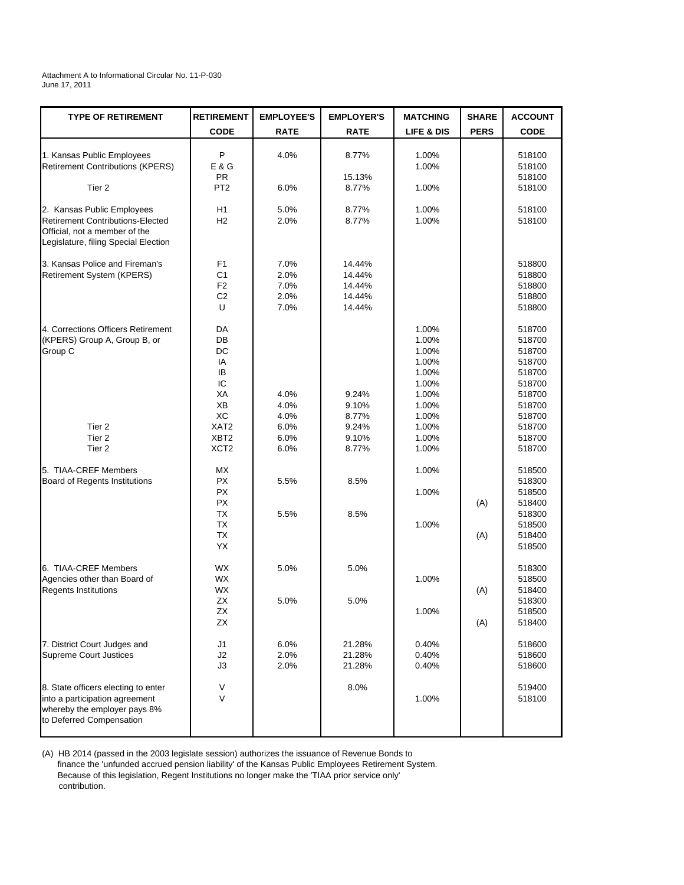## Attachment A to Informational Circular No. 11-P-030 June 17, 2011

| <b>TYPE OF RETIREMENT</b>                                                                                                               | <b>RETIREMENT</b>                                             | <b>EMPLOYEE'S</b>                    | <b>EMPLOYER'S</b>                              | <b>MATCHING</b>                                                               | <b>SHARE</b> | <b>ACCOUNT</b>                                                                         |
|-----------------------------------------------------------------------------------------------------------------------------------------|---------------------------------------------------------------|--------------------------------------|------------------------------------------------|-------------------------------------------------------------------------------|--------------|----------------------------------------------------------------------------------------|
|                                                                                                                                         | <b>CODE</b>                                                   | <b>RATE</b>                          | <b>RATE</b>                                    | LIFE & DIS                                                                    | <b>PERS</b>  | <b>CODE</b>                                                                            |
| 1. Kansas Public Employees<br><b>Retirement Contributions (KPERS)</b>                                                                   | P<br>E & G<br><b>PR</b>                                       | 4.0%                                 | 8.77%                                          | 1.00%<br>1.00%                                                                |              | 518100<br>518100                                                                       |
| Tier <sub>2</sub>                                                                                                                       | PT <sub>2</sub>                                               | 6.0%                                 | 15.13%<br>8.77%                                | 1.00%                                                                         |              | 518100<br>518100                                                                       |
| 2. Kansas Public Employees<br>Retirement Contributions-Elected<br>Official, not a member of the<br>Legislature, filing Special Election | H1<br>H2                                                      | 5.0%<br>2.0%                         | 8.77%<br>8.77%                                 | 1.00%<br>1.00%                                                                |              | 518100<br>518100                                                                       |
| 3. Kansas Police and Fireman's<br>Retirement System (KPERS)                                                                             | F1<br>C <sub>1</sub><br>F <sub>2</sub><br>C <sub>2</sub><br>U | 7.0%<br>2.0%<br>7.0%<br>2.0%<br>7.0% | 14.44%<br>14.44%<br>14.44%<br>14.44%<br>14.44% |                                                                               |              | 518800<br>518800<br>518800<br>518800<br>518800                                         |
| 4. Corrections Officers Retirement<br>(KPERS) Group A, Group B, or<br>Group C                                                           | DA<br>DB<br>DC<br>IA<br><b>IB</b><br>IC<br>ХA<br>XB<br>XC     | 4.0%<br>4.0%<br>4.0%                 | 9.24%<br>9.10%<br>8.77%                        | 1.00%<br>1.00%<br>1.00%<br>1.00%<br>1.00%<br>1.00%<br>1.00%<br>1.00%<br>1.00% |              | 518700<br>518700<br>518700<br>518700<br>518700<br>518700<br>518700<br>518700<br>518700 |
| Tier <sub>2</sub><br>Tier <sub>2</sub><br>Tier <sub>2</sub>                                                                             | XAT <sub>2</sub><br>XBT <sub>2</sub><br>XCT <sub>2</sub>      | 6.0%<br>6.0%<br>6.0%                 | 9.24%<br>9.10%<br>8.77%                        | 1.00%<br>1.00%<br>1.00%                                                       |              | 518700<br>518700<br>518700                                                             |
| 5. TIAA-CREF Members<br><b>Board of Regents Institutions</b>                                                                            | МX<br><b>PX</b><br><b>PX</b><br><b>PX</b>                     | 5.5%                                 | 8.5%                                           | 1.00%<br>1.00%                                                                | (A)          | 518500<br>518300<br>518500<br>518400                                                   |
|                                                                                                                                         | <b>TX</b><br><b>TX</b><br><b>TX</b><br>YX                     | 5.5%                                 | 8.5%                                           | 1.00%                                                                         | (A)          | 518300<br>518500<br>518400<br>518500                                                   |
| 6. TIAA-CREF Members<br>Agencies other than Board of<br><b>Regents Institutions</b>                                                     | WX<br><b>WX</b><br>WX<br><b>ZX</b>                            | 5.0%<br>5.0%                         | 5.0%<br>5.0%                                   | 1.00%                                                                         | (A)          | 518300<br>518500<br>518400<br>518300                                                   |
|                                                                                                                                         | ΖX<br><b>ZX</b>                                               |                                      |                                                | 1.00%                                                                         | (A)          | 518500<br>518400                                                                       |
| 7. District Court Judges and<br><b>Supreme Court Justices</b>                                                                           | J1<br>J2<br>J3                                                | 6.0%<br>2.0%<br>2.0%                 | 21.28%<br>21.28%<br>21.28%                     | 0.40%<br>0.40%<br>0.40%                                                       |              | 518600<br>518600<br>518600                                                             |
| 8. State officers electing to enter<br>into a participation agreement<br>whereby the employer pays 8%<br>to Deferred Compensation       | V<br>V                                                        |                                      | 8.0%                                           | 1.00%                                                                         |              | 519400<br>518100                                                                       |

(A) HB 2014 (passed in the 2003 legislate session) authorizes the issuance of Revenue Bonds to finance the 'unfunded accrued pension liability' of the Kansas Public Employees Retirement System. Because of this legislation, Regent Institutions no longer make the 'TIAA prior service only' contribution.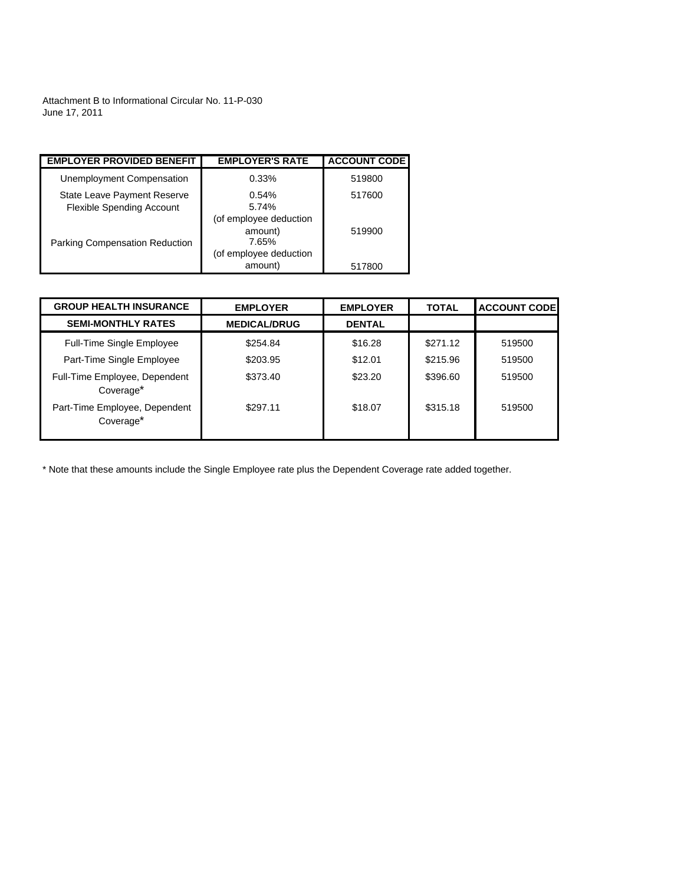Attachment B to Informational Circular No. 11-P-030 June 17, 2011

| <b>EMPLOYER PROVIDED BENEFIT</b>                                | <b>EMPLOYER'S RATE</b>                     | <b>ACCOUNT CODE</b> |
|-----------------------------------------------------------------|--------------------------------------------|---------------------|
| Unemployment Compensation                                       | 0.33%                                      | 519800              |
| State Leave Payment Reserve<br><b>Flexible Spending Account</b> | 0.54%<br>5.74%                             | 517600              |
| <b>Parking Compensation Reduction</b>                           | (of employee deduction<br>amount)<br>7.65% | 519900              |
|                                                                 | (of employee deduction<br>amount)          | 517800              |

| <b>GROUP HEALTH INSURANCE</b>                          | <b>EMPLOYER</b>     | <b>EMPLOYER</b> | <b>TOTAL</b> | <b>ACCOUNT CODE</b> |
|--------------------------------------------------------|---------------------|-----------------|--------------|---------------------|
| <b>SEMI-MONTHLY RATES</b>                              | <b>MEDICAL/DRUG</b> | <b>DENTAL</b>   |              |                     |
| <b>Full-Time Single Employee</b>                       | \$254.84            | \$16.28         | \$271.12     | 519500              |
| Part-Time Single Employee                              | \$203.95            | \$12.01         | \$215.96     | 519500              |
| Full-Time Employee, Dependent<br>Coverage*             | \$373.40            | \$23.20         | \$396.60     | 519500              |
| Part-Time Employee, Dependent<br>Coverage <sup>*</sup> | \$297.11            | \$18.07         | \$315.18     | 519500              |

\* Note that these amounts include the Single Employee rate plus the Dependent Coverage rate added together.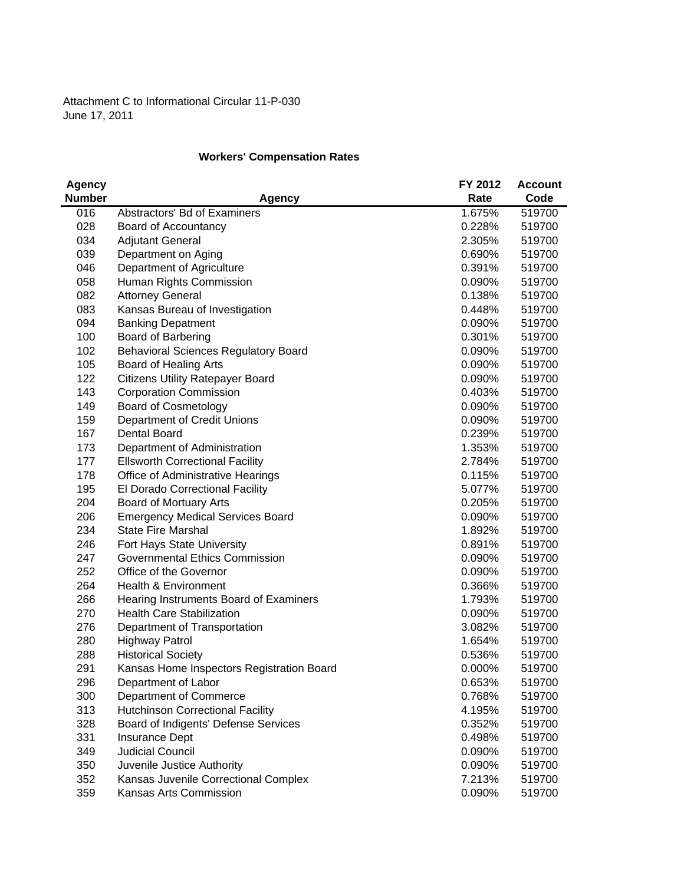## **Workers' Compensation Rates**

| <b>Agency</b> |                                             | FY 2012 | <b>Account</b> |
|---------------|---------------------------------------------|---------|----------------|
| <b>Number</b> | Agency                                      | Rate    | Code           |
| 016           | Abstractors' Bd of Examiners                | 1.675%  | 519700         |
| 028           | Board of Accountancy                        | 0.228%  | 519700         |
| 034           | <b>Adjutant General</b>                     | 2.305%  | 519700         |
| 039           | Department on Aging                         | 0.690%  | 519700         |
| 046           | Department of Agriculture                   | 0.391%  | 519700         |
| 058           | Human Rights Commission                     | 0.090%  | 519700         |
| 082           | <b>Attorney General</b>                     | 0.138%  | 519700         |
| 083           | Kansas Bureau of Investigation              | 0.448%  | 519700         |
| 094           | <b>Banking Depatment</b>                    | 0.090%  | 519700         |
| 100           | Board of Barbering                          | 0.301%  | 519700         |
| 102           | <b>Behavioral Sciences Regulatory Board</b> | 0.090%  | 519700         |
| 105           | Board of Healing Arts                       | 0.090%  | 519700         |
| 122           | <b>Citizens Utility Ratepayer Board</b>     | 0.090%  | 519700         |
| 143           | <b>Corporation Commission</b>               | 0.403%  | 519700         |
| 149           | <b>Board of Cosmetology</b>                 | 0.090%  | 519700         |
| 159           | Department of Credit Unions                 | 0.090%  | 519700         |
| 167           | <b>Dental Board</b>                         | 0.239%  | 519700         |
| 173           | Department of Administration                | 1.353%  | 519700         |
| 177           | <b>Ellsworth Correctional Facility</b>      | 2.784%  | 519700         |
| 178           | Office of Administrative Hearings           | 0.115%  | 519700         |
| 195           | El Dorado Correctional Facility             | 5.077%  | 519700         |
| 204           | Board of Mortuary Arts                      | 0.205%  | 519700         |
| 206           | <b>Emergency Medical Services Board</b>     | 0.090%  | 519700         |
| 234           | <b>State Fire Marshal</b>                   | 1.892%  | 519700         |
| 246           | Fort Hays State University                  | 0.891%  | 519700         |
| 247           | <b>Governmental Ethics Commission</b>       | 0.090%  | 519700         |
| 252           | Office of the Governor                      | 0.090%  | 519700         |
| 264           | Health & Environment                        | 0.366%  | 519700         |
| 266           | Hearing Instruments Board of Examiners      | 1.793%  | 519700         |
| 270           | <b>Health Care Stabilization</b>            | 0.090%  | 519700         |
| 276           | Department of Transportation                | 3.082%  | 519700         |
| 280           | <b>Highway Patrol</b>                       | 1.654%  | 519700         |
| 288           | <b>Historical Society</b>                   | 0.536%  | 519700         |
| 291           | Kansas Home Inspectors Registration Board   | 0.000%  | 519700         |
| 296           | Department of Labor                         | 0.653%  | 519700         |
| 300           | Department of Commerce                      | 0.768%  | 519700         |
| 313           | <b>Hutchinson Correctional Facility</b>     | 4.195%  | 519700         |
| 328           | Board of Indigents' Defense Services        | 0.352%  | 519700         |
| 331           | Insurance Dept                              | 0.498%  | 519700         |
| 349           | <b>Judicial Council</b>                     | 0.090%  | 519700         |
| 350           | Juvenile Justice Authority                  | 0.090%  | 519700         |
| 352           | Kansas Juvenile Correctional Complex        | 7.213%  | 519700         |
| 359           | Kansas Arts Commission                      | 0.090%  | 519700         |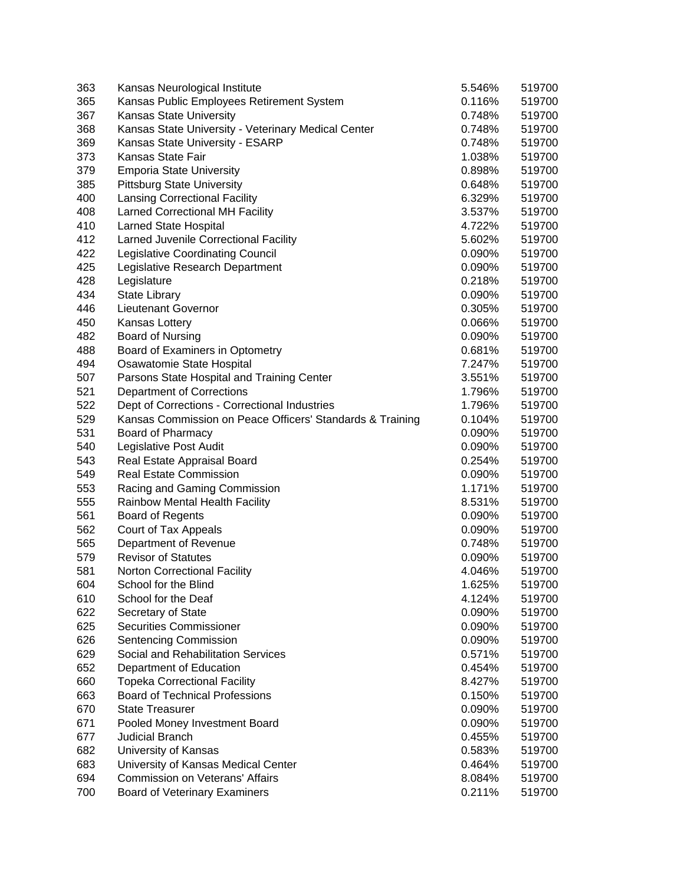| 363 | Kansas Neurological Institute                             | 5.546%    | 519700           |
|-----|-----------------------------------------------------------|-----------|------------------|
| 365 | Kansas Public Employees Retirement System                 | 0.116%    | 519700           |
| 367 | <b>Kansas State University</b>                            | 0.748%    | 519700           |
| 368 | Kansas State University - Veterinary Medical Center       | 0.748%    | 519700           |
| 369 | Kansas State University - ESARP                           | 0.748%    | 519700           |
| 373 | Kansas State Fair                                         | 1.038%    | 519700           |
| 379 | <b>Emporia State University</b>                           | 0.898%    | 519700           |
| 385 | <b>Pittsburg State University</b>                         | 0.648%    | 519700           |
| 400 | <b>Lansing Correctional Facility</b>                      | 6.329%    | 519700           |
| 408 | <b>Larned Correctional MH Facility</b>                    | 3.537%    | 519700           |
| 410 | <b>Larned State Hospital</b>                              | 4.722%    | 519700           |
| 412 | Larned Juvenile Correctional Facility                     | 5.602%    | 519700           |
| 422 | <b>Legislative Coordinating Council</b>                   | 0.090%    | 519700           |
| 425 | Legislative Research Department                           | 0.090%    | 519700           |
| 428 | Legislature                                               | 0.218%    | 519700           |
| 434 | <b>State Library</b>                                      | 0.090%    | 519700           |
| 446 | Lieutenant Governor                                       | 0.305%    | 519700           |
| 450 | Kansas Lottery                                            | 0.066%    | 519700           |
| 482 | Board of Nursing                                          | 0.090%    | 519700           |
| 488 | Board of Examiners in Optometry                           | 0.681%    | 519700           |
| 494 | Osawatomie State Hospital                                 | 7.247%    | 519700           |
| 507 | Parsons State Hospital and Training Center                | 3.551%    | 519700           |
| 521 | <b>Department of Corrections</b>                          | 1.796%    | 519700           |
| 522 | Dept of Corrections - Correctional Industries             | 1.796%    | 519700           |
| 529 | Kansas Commission on Peace Officers' Standards & Training | 0.104%    | 519700           |
| 531 | Board of Pharmacy                                         | 0.090%    | 519700           |
| 540 | Legislative Post Audit                                    | 0.090%    | 519700           |
| 543 | Real Estate Appraisal Board                               | 0.254%    | 519700           |
| 549 | <b>Real Estate Commission</b>                             | $0.090\%$ | 519700           |
| 553 | Racing and Gaming Commission                              | 1.171%    | 519700           |
| 555 | Rainbow Mental Health Facility                            | 8.531%    | 519700           |
| 561 | <b>Board of Regents</b>                                   | 0.090%    | 519700           |
| 562 | Court of Tax Appeals                                      | 0.090%    | 519700           |
| 565 | Department of Revenue                                     | 0.748%    | 519700           |
| 579 | <b>Revisor of Statutes</b>                                | 0.090%    | 519700           |
| 581 | <b>Norton Correctional Facility</b>                       | 4.046%    | 519700           |
| 604 | School for the Blind                                      | 1.625%    | 519700           |
| 610 | School for the Deaf                                       | 4.124%    |                  |
|     |                                                           |           | 519700           |
| 622 | Secretary of State<br><b>Securities Commissioner</b>      | 0.090%    | 519700           |
| 625 | Sentencing Commission                                     | 0.090%    | 519700<br>519700 |
| 626 |                                                           | 0.090%    |                  |
| 629 | Social and Rehabilitation Services                        | 0.571%    | 519700           |
| 652 | Department of Education                                   | 0.454%    | 519700           |
| 660 | <b>Topeka Correctional Facility</b>                       | 8.427%    | 519700           |
| 663 | <b>Board of Technical Professions</b>                     | 0.150%    | 519700           |
| 670 | <b>State Treasurer</b>                                    | 0.090%    | 519700           |
| 671 | Pooled Money Investment Board                             | 0.090%    | 519700           |
| 677 | <b>Judicial Branch</b>                                    | 0.455%    | 519700           |
| 682 | University of Kansas                                      | 0.583%    | 519700           |
| 683 | University of Kansas Medical Center                       | 0.464%    | 519700           |
| 694 | Commission on Veterans' Affairs                           | 8.084%    | 519700           |
| 700 | <b>Board of Veterinary Examiners</b>                      | 0.211%    | 519700           |